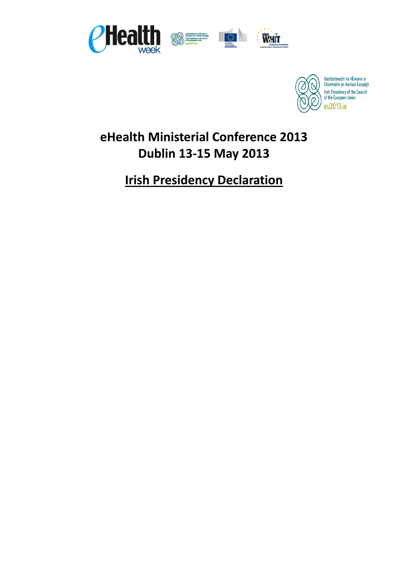



# **eHealth Ministerial Conference 2013 Dublin 13-15 May 2013**

# **Irish Presidency Declaration**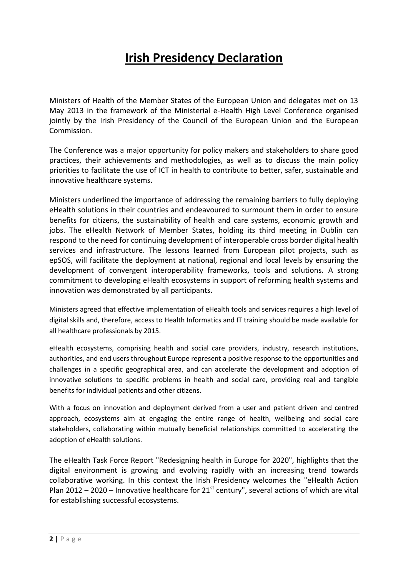# **Irish Presidency Declaration**

Ministers of Health of the Member States of the European Union and delegates met on 13 May 2013 in the framework of the Ministerial e-Health High Level Conference organised jointly by the Irish Presidency of the Council of the European Union and the European Commission.

The Conference was a major opportunity for policy makers and stakeholders to share good practices, their achievements and methodologies, as well as to discuss the main policy priorities to facilitate the use of ICT in health to contribute to better, safer, sustainable and innovative healthcare systems.

Ministers underlined the importance of addressing the remaining barriers to fully deploying eHealth solutions in their countries and endeavoured to surmount them in order to ensure benefits for citizens, the sustainability of health and care systems, economic growth and jobs. The eHealth Network of Member States, holding its third meeting in Dublin can respond to the need for continuing development of interoperable cross border digital health services and infrastructure. The lessons learned from European pilot projects, such as epSOS, will facilitate the deployment at national, regional and local levels by ensuring the development of convergent interoperability frameworks, tools and solutions. A strong commitment to developing eHealth ecosystems in support of reforming health systems and innovation was demonstrated by all participants.

Ministers agreed that effective implementation of eHealth tools and services requires a high level of digital skills and, therefore, access to Health Informatics and IT training should be made available for all healthcare professionals by 2015.

eHealth ecosystems, comprising health and social care providers, industry, research institutions, authorities, and end users throughout Europe represent a positive response to the opportunities and challenges in a specific geographical area, and can accelerate the development and adoption of innovative solutions to specific problems in health and social care, providing real and tangible benefits for individual patients and other citizens.

With a focus on innovation and deployment derived from a user and patient driven and centred approach, ecosystems aim at engaging the entire range of health, wellbeing and social care stakeholders, collaborating within mutually beneficial relationships committed to accelerating the adoption of eHealth solutions.

The eHealth Task Force Report "Redesigning health in Europe for 2020", highlights that the digital environment is growing and evolving rapidly with an increasing trend towards collaborative working. In this context the Irish Presidency welcomes the "eHealth Action Plan 2012 – 2020 – Innovative healthcare for  $21^{st}$  century", several actions of which are vital for establishing successful ecosystems.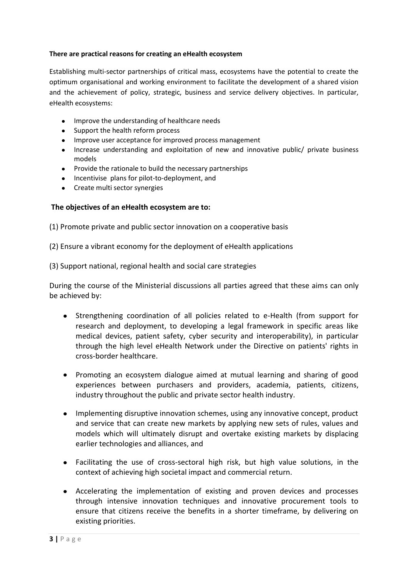### **There are practical reasons for creating an eHealth ecosystem**

Establishing multi-sector partnerships of critical mass, ecosystems have the potential to create the optimum organisational and working environment to facilitate the development of a shared vision and the achievement of policy, strategic, business and service delivery objectives. In particular, eHealth ecosystems:

- Improve the understanding of healthcare needs
- Support the health reform process
- Improve user acceptance for improved process management
- Increase understanding and exploitation of new and innovative public/ private business  $\bullet$ models
- Provide the rationale to build the necessary partnerships
- Incentivise plans for pilot-to-deployment, and
- Create multi sector synergies

## **The objectives of an eHealth ecosystem are to:**

(1) Promote private and public sector innovation on a cooperative basis

(2) Ensure a vibrant economy for the deployment of eHealth applications

(3) Support national, regional health and social care strategies

During the course of the Ministerial discussions all parties agreed that these aims can only be achieved by:

- Strengthening coordination of all policies related to e-Health (from support for research and deployment, to developing a legal framework in specific areas like medical devices, patient safety, cyber security and interoperability), in particular through the high level eHealth Network under the Directive on patients' rights in cross-border healthcare.
- Promoting an ecosystem dialogue aimed at mutual learning and sharing of good experiences between purchasers and providers, academia, patients, citizens, industry throughout the public and private sector health industry.
- $\bullet$ Implementing disruptive innovation schemes, using any innovative concept, product and service that can create new markets by applying new sets of rules, values and models which will ultimately disrupt and overtake existing markets by displacing earlier technologies and alliances, and
- Facilitating the use of cross-sectoral high risk, but high value solutions, in the context of achieving high societal impact and commercial return.
- Accelerating the implementation of existing and proven devices and processes through intensive innovation techniques and innovative procurement tools to ensure that citizens receive the benefits in a shorter timeframe, by delivering on existing priorities.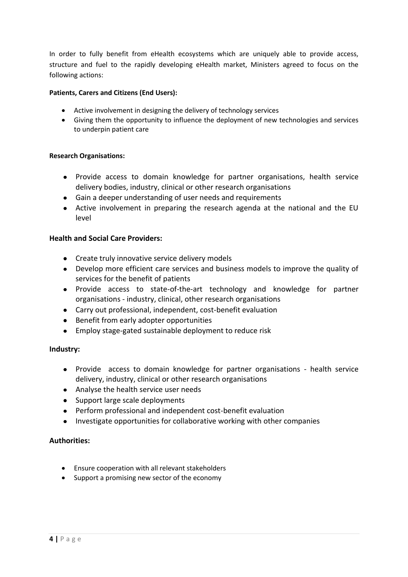In order to fully benefit from eHealth ecosystems which are uniquely able to provide access, structure and fuel to the rapidly developing eHealth market, Ministers agreed to focus on the following actions:

#### **Patients, Carers and Citizens (End Users):**

- Active involvement in designing the delivery of technology services
- Giving them the opportunity to influence the deployment of new technologies and services to underpin patient care

#### **Research Organisations:**

- Provide access to domain knowledge for partner organisations, health service delivery bodies, industry, clinical or other research organisations
- Gain a deeper understanding of user needs and requirements
- Active involvement in preparing the research agenda at the national and the EU level

#### **Health and Social Care Providers:**

- Create truly innovative service delivery models
- Develop more efficient care services and business models to improve the quality of services for the benefit of patients
- Provide access to state-of-the-art technology and knowledge for partner organisations - industry, clinical, other research organisations
- Carry out professional, independent, cost-benefit evaluation
- Benefit from early adopter opportunities
- Employ stage-gated sustainable deployment to reduce risk

### **Industry:**

- Provide access to domain knowledge for partner organisations health service delivery, industry, clinical or other research organisations
- Analyse the health service user needs
- Support large scale deployments
- Perform professional and independent cost-benefit evaluation
- Investigate opportunities for collaborative working with other companies

### **Authorities:**

- Ensure cooperation with all relevant stakeholders
- Support a promising new sector of the economy